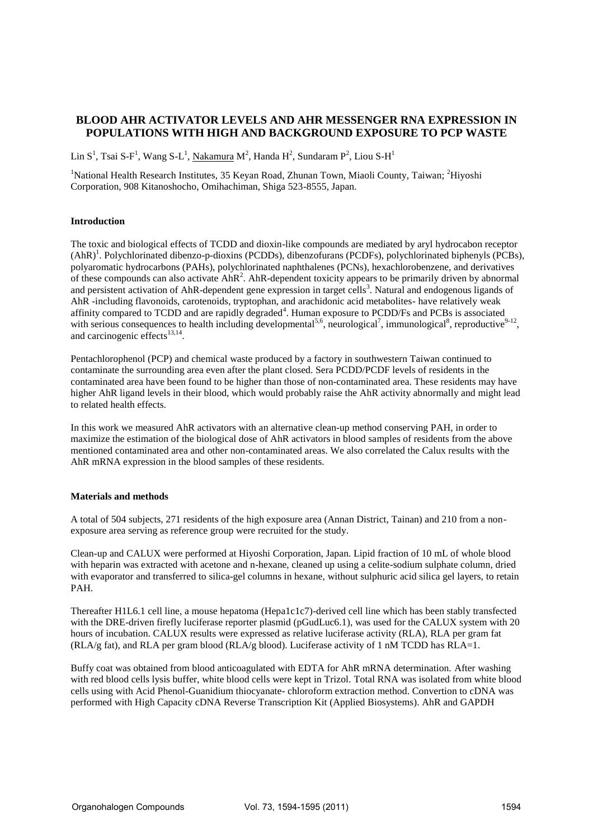# **BLOOD AHR ACTIVATOR LEVELS AND AHR MESSENGER RNA EXPRESSION IN POPULATIONS WITH HIGH AND BACKGROUND EXPOSURE TO PCP WASTE**

Lin S<sup>1</sup>, Tsai S-F<sup>1</sup>, Wang S-L<sup>1</sup>, <u>Nakamura</u> M<sup>2</sup>, Handa H<sup>2</sup>, Sundaram P<sup>2</sup>, Liou S-H<sup>1</sup>

<sup>1</sup>National Health Research Institutes, 35 Keyan Road, Zhunan Town, Miaoli County, Taiwan; <sup>2</sup>Hiyoshi Corporation, 908 Kitanoshocho, Omihachiman, Shiga 523-8555, Japan.

# **Introduction**

The toxic and biological effects of TCDD and dioxin-like compounds are mediated by aryl hydrocabon receptor (AhR)<sup>1</sup>. Polychlorinated dibenzo-p-dioxins (PCDDs), dibenzofurans (PCDFs), polychlorinated biphenyls (PCBs), polyaromatic hydrocarbons (PAHs), polychlorinated naphthalenes (PCNs), hexachlorobenzene, and derivatives of these compounds can also activate  $AhR<sup>2</sup>$ . AhR-dependent toxicity appears to be primarily driven by abnormal and persistent activation of AhR-dependent gene expression in target cells<sup>3</sup>. Natural and endogenous ligands of AhR -including flavonoids, carotenoids, tryptophan, and arachidonic acid metabolites- have relatively weak affinity compared to TCDD and are rapidly degraded<sup>4</sup>. Human exposure to PCDD/Fs and PCBs is associated with serious consequences to health including developmental<sup>5,6</sup>, neurological<sup>7</sup>, immunological<sup>8</sup>, reproductive<sup>9-12</sup>, and carcinogenic effects<sup>13,14</sup>.

Pentachlorophenol (PCP) and chemical waste produced by a factory in southwestern Taiwan continued to contaminate the surrounding area even after the plant closed. Sera PCDD/PCDF levels of residents in the contaminated area have been found to be higher than those of non-contaminated area. These residents may have higher AhR ligand levels in their blood, which would probably raise the AhR activity abnormally and might lead to related health effects.

In this work we measured AhR activators with an alternative clean-up method conserving PAH, in order to maximize the estimation of the biological dose of AhR activators in blood samples of residents from the above mentioned contaminated area and other non-contaminated areas. We also correlated the Calux results with the AhR mRNA expression in the blood samples of these residents.

# **Materials and methods**

A total of 504 subjects, 271 residents of the high exposure area (Annan District, Tainan) and 210 from a nonexposure area serving as reference group were recruited for the study.

Clean-up and CALUX were performed at Hiyoshi Corporation, Japan. Lipid fraction of 10 mL of whole blood with heparin was extracted with acetone and n-hexane, cleaned up using a celite-sodium sulphate column, dried with evaporator and transferred to silica-gel columns in hexane, without sulphuric acid silica gel layers, to retain PAH.

Thereafter H1L6.1 cell line, a mouse hepatoma (Hepa1c1c7)-derived cell line which has been stably transfected with the DRE-driven firefly luciferase reporter plasmid (pGudLuc6.1), was used for the CALUX system with 20 hours of incubation. CALUX results were expressed as relative luciferase activity (RLA), RLA per gram fat (RLA/g fat), and RLA per gram blood (RLA/g blood). Luciferase activity of 1 nM TCDD has RLA=1.

Buffy coat was obtained from blood anticoagulated with EDTA for AhR mRNA determination. After washing with red blood cells lysis buffer, white blood cells were kept in Trizol. Total RNA was isolated from white blood cells using with Acid Phenol-Guanidium thiocyanate- chloroform extraction method. Convertion to cDNA was performed with High Capacity cDNA Reverse Transcription Kit (Applied Biosystems). AhR and GAPDH